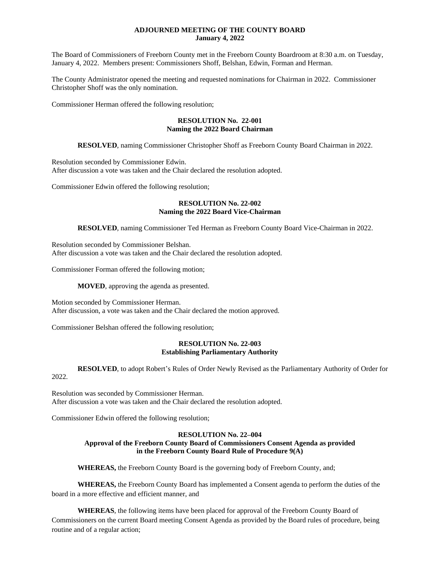### **ADJOURNED MEETING OF THE COUNTY BOARD January 4, 2022**

The Board of Commissioners of Freeborn County met in the Freeborn County Boardroom at 8:30 a.m. on Tuesday, January 4, 2022. Members present: Commissioners Shoff, Belshan, Edwin, Forman and Herman.

The County Administrator opened the meeting and requested nominations for Chairman in 2022. Commissioner Christopher Shoff was the only nomination.

Commissioner Herman offered the following resolution;

#### **RESOLUTION No. 22-001 Naming the 2022 Board Chairman**

**RESOLVED**, naming Commissioner Christopher Shoff as Freeborn County Board Chairman in 2022.

Resolution seconded by Commissioner Edwin.

After discussion a vote was taken and the Chair declared the resolution adopted.

Commissioner Edwin offered the following resolution;

### **RESOLUTION No. 22-002 Naming the 2022 Board Vice-Chairman**

**RESOLVED**, naming Commissioner Ted Herman as Freeborn County Board Vice-Chairman in 2022.

Resolution seconded by Commissioner Belshan. After discussion a vote was taken and the Chair declared the resolution adopted.

Commissioner Forman offered the following motion;

**MOVED**, approving the agenda as presented.

Motion seconded by Commissioner Herman. After discussion, a vote was taken and the Chair declared the motion approved.

Commissioner Belshan offered the following resolution;

### **RESOLUTION No. 22-003 Establishing Parliamentary Authority**

**RESOLVED**, to adopt Robert's Rules of Order Newly Revised as the Parliamentary Authority of Order for 2022.

Resolution was seconded by Commissioner Herman. After discussion a vote was taken and the Chair declared the resolution adopted.

Commissioner Edwin offered the following resolution;

# **RESOLUTION No. 22–004**

#### **Approval of the Freeborn County Board of Commissioners Consent Agenda as provided in the Freeborn County Board Rule of Procedure 9(A)**

**WHEREAS,** the Freeborn County Board is the governing body of Freeborn County, and;

**WHEREAS,** the Freeborn County Board has implemented a Consent agenda to perform the duties of the board in a more effective and efficient manner, and

**WHEREAS**, the following items have been placed for approval of the Freeborn County Board of Commissioners on the current Board meeting Consent Agenda as provided by the Board rules of procedure, being routine and of a regular action;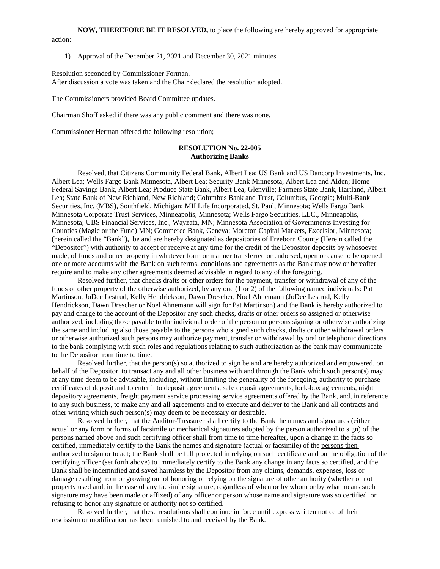### **NOW, THEREFORE BE IT RESOLVED,** to place the following are hereby approved for appropriate action:

#### 1) Approval of the December 21, 2021 and December 30, 2021 minutes

Resolution seconded by Commissioner Forman.

After discussion a vote was taken and the Chair declared the resolution adopted.

The Commissioners provided Board Committee updates.

Chairman Shoff asked if there was any public comment and there was none.

Commissioner Herman offered the following resolution;

#### **RESOLUTION No. 22-005 Authorizing Banks**

Resolved, that Citizens Community Federal Bank, Albert Lea; US Bank and US Bancorp Investments, Inc. Albert Lea; Wells Fargo Bank Minnesota, Albert Lea; Security Bank Minnesota, Albert Lea and Alden; Home Federal Savings Bank, Albert Lea; Produce State Bank, Albert Lea, Glenville; Farmers State Bank, Hartland, Albert Lea; State Bank of New Richland, New Richland; Columbus Bank and Trust, Columbus, Georgia; Multi-Bank Securities, Inc. (MBS), Southfield, Michigan; MII Life Incorporated, St. Paul, Minnesota; Wells Fargo Bank Minnesota Corporate Trust Services, Minneapolis, Minnesota; Wells Fargo Securities, LLC., Minneapolis, Minnesota; UBS Financial Services, Inc., Wayzata, MN; Minnesota Association of Governments Investing for Counties (Magic or the Fund) MN; Commerce Bank, Geneva; Moreton Capital Markets, Excelsior, Minnesota; (herein called the "Bank"), be and are hereby designated as depositories of Freeborn County (Herein called the "Depositor") with authority to accept or receive at any time for the credit of the Depositor deposits by whosoever made, of funds and other property in whatever form or manner transferred or endorsed, open or cause to be opened one or more accounts with the Bank on such terms, conditions and agreements as the Bank may now or hereafter require and to make any other agreements deemed advisable in regard to any of the foregoing.

 Resolved further, that checks drafts or other orders for the payment, transfer or withdrawal of any of the funds or other property of the otherwise authorized, by any one (1 or 2) of the following named individuals: Pat Martinson, JoDee Lestrud, Kelly Hendrickson, Dawn Drescher, Noel Ahnemann (JoDee Lestrud, Kelly Hendrickson, Dawn Drescher or Noel Ahnemann will sign for Pat Martinson) and the Bank is hereby authorized to pay and charge to the account of the Depositor any such checks, drafts or other orders so assigned or otherwise authorized, including those payable to the individual order of the person or persons signing or otherwise authorizing the same and including also those payable to the persons who signed such checks, drafts or other withdrawal orders or otherwise authorized such persons may authorize payment, transfer or withdrawal by oral or telephonic directions to the bank complying with such roles and regulations relating to such authorization as the bank may communicate to the Depositor from time to time.

 Resolved further, that the person(s) so authorized to sign be and are hereby authorized and empowered, on behalf of the Depositor, to transact any and all other business with and through the Bank which such person(s) may at any time deem to be advisable, including, without limiting the generality of the foregoing, authority to purchase certificates of deposit and to enter into deposit agreements, safe deposit agreements, lock-box agreements, night depository agreements, freight payment service processing service agreements offered by the Bank, and, in reference to any such business, to make any and all agreements and to execute and deliver to the Bank and all contracts and other writing which such person(s) may deem to be necessary or desirable.

 Resolved further, that the Auditor-Treasurer shall certify to the Bank the names and signatures (either actual or any form or forms of facsimile or mechanical signatures adopted by the person authorized to sign) of the persons named above and such certifying officer shall from time to time hereafter, upon a change in the facts so certified, immediately certify to the Bank the names and signature (actual or facsimile) of the persons then authorized to sign or to act; the Bank shall be full protected in relying on such certificate and on the obligation of the certifying officer (set forth above) to immediately certify to the Bank any change in any facts so certified, and the Bank shall be indemnified and saved harmless by the Depositor from any claims, demands, expenses, loss or damage resulting from or growing out of honoring or relying on the signature of other authority (whether or not property used and, in the case of any facsimile signature, regardless of when or by whom or by what means such signature may have been made or affixed) of any officer or person whose name and signature was so certified, or refusing to honor any signature or authority not so certified.

 Resolved further, that these resolutions shall continue in force until express written notice of their rescission or modification has been furnished to and received by the Bank.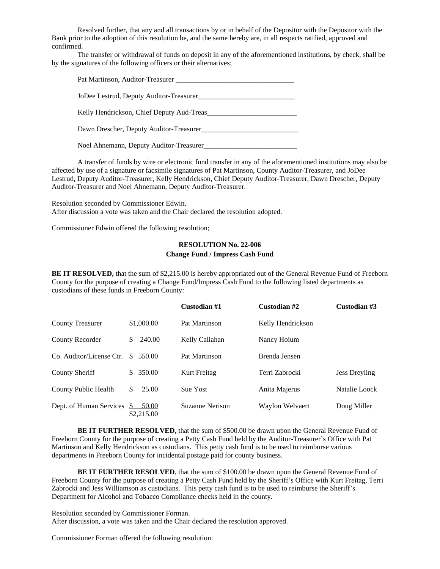Resolved further, that any and all transactions by or in behalf of the Depositor with the Depositor with the Bank prior to the adoption of this resolution be, and the same hereby are, in all respects ratified, approved and confirmed.

 The transfer or withdrawal of funds on deposit in any of the aforementioned institutions, by check, shall be by the signatures of the following officers or their alternatives;

| Pat Martinson, Auditor-Treasurer        |
|-----------------------------------------|
|                                         |
| JoDee Lestrud, Deputy Auditor-Treasurer |

Kelly Hendrickson, Chief Deputy Aud-Treas\_\_\_\_\_\_\_\_\_\_\_\_\_\_\_\_\_\_\_\_\_\_\_\_\_

Dawn Drescher, Deputy Auditor-Treasurer\_\_\_\_\_\_\_\_\_\_\_\_\_\_\_\_\_\_\_\_\_\_\_\_\_\_\_

Noel Ahnemann, Deputy Auditor-Treasurer\_\_\_\_\_\_\_\_\_\_\_\_\_\_\_\_\_\_\_\_\_\_\_\_\_\_

 A transfer of funds by wire or electronic fund transfer in any of the aforementioned institutions may also be affected by use of a signature or facsimile signatures of Pat Martinson, County Auditor-Treasurer, and JoDee Lestrud, Deputy Auditor-Treasurer, Kelly Hendrickson, Chief Deputy Auditor-Treasurer, Dawn Drescher, Deputy Auditor-Treasurer and Noel Ahnemann, Deputy Auditor-Treasurer.

Resolution seconded by Commissioner Edwin. After discussion a vote was taken and the Chair declared the resolution adopted.

Commissioner Edwin offered the following resolution;

# **RESOLUTION No. 22-006 Change Fund / Impress Cash Fund**

**BE IT RESOLVED,** that the sum of \$2,215.00 is hereby appropriated out of the General Revenue Fund of Freeborn County for the purpose of creating a Change Fund/Impress Cash Fund to the following listed departments as custodians of these funds in Freeborn County:

|                          |                          | Custodian #1           | Custodian #2      | Custodian #3         |
|--------------------------|--------------------------|------------------------|-------------------|----------------------|
| <b>County Treasurer</b>  | \$1,000.00               | Pat Martinson          | Kelly Hendrickson |                      |
| County Recorder          | 240.00<br>\$             | Kelly Callahan         | Nancy Hoium       |                      |
| Co. Auditor/License Ctr. | S.<br>550.00             | Pat Martinson          | Brenda Jensen     |                      |
| County Sheriff           | 350.00<br>\$.            | Kurt Freitag           | Terri Zabrocki    | <b>Jess Dreyling</b> |
| County Public Health     | \$<br>25.00              | <b>Sue Yost</b>        | Anita Majerus     | Natalie Loock        |
| Dept. of Human Services  | 50.00<br>S<br>\$2,215.00 | <b>Suzanne Nerison</b> | Waylon Welvaert   | Doug Miller          |

**BE IT FURTHER RESOLVED,** that the sum of \$500.00 be drawn upon the General Revenue Fund of Freeborn County for the purpose of creating a Petty Cash Fund held by the Auditor-Treasurer's Office with Pat Martinson and Kelly Hendrickson as custodians. This petty cash fund is to be used to reimburse various departments in Freeborn County for incidental postage paid for county business.

**BE IT FURTHER RESOLVED**, that the sum of \$100.00 be drawn upon the General Revenue Fund of Freeborn County for the purpose of creating a Petty Cash Fund held by the Sheriff's Office with Kurt Freitag, Terri Zabrocki and Jess Williamson as custodians. This petty cash fund is to be used to reimburse the Sheriff's Department for Alcohol and Tobacco Compliance checks held in the county.

Resolution seconded by Commissioner Forman. After discussion, a vote was taken and the Chair declared the resolution approved.

Commissioner Forman offered the following resolution: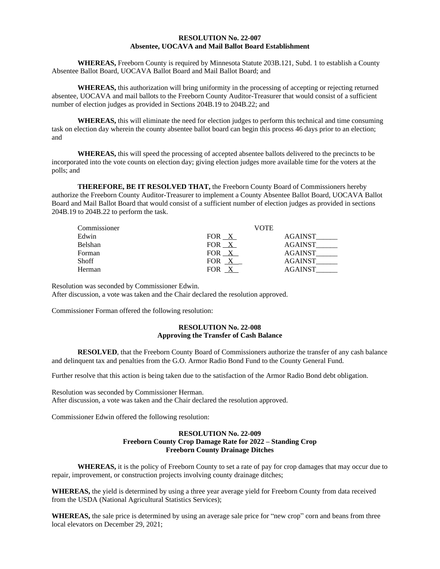#### **RESOLUTION No. 22-007 Absentee, UOCAVA and Mail Ballot Board Establishment**

**WHEREAS,** Freeborn County is required by Minnesota Statute 203B.121, Subd. 1 to establish a County Absentee Ballot Board, UOCAVA Ballot Board and Mail Ballot Board; and

**WHEREAS,** this authorization will bring uniformity in the processing of accepting or rejecting returned absentee, UOCAVA and mail ballots to the Freeborn County Auditor-Treasurer that would consist of a sufficient number of election judges as provided in Sections 204B.19 to 204B.22; and

**WHEREAS,** this will eliminate the need for election judges to perform this technical and time consuming task on election day wherein the county absentee ballot board can begin this process 46 days prior to an election; and

**WHEREAS,** this will speed the processing of accepted absentee ballots delivered to the precincts to be incorporated into the vote counts on election day; giving election judges more available time for the voters at the polls; and

**THEREFORE, BE IT RESOLVED THAT,** the Freeborn County Board of Commissioners hereby authorize the Freeborn County Auditor-Treasurer to implement a County Absentee Ballot Board, UOCAVA Ballot Board and Mail Ballot Board that would consist of a sufficient number of election judges as provided in sections 204B.19 to 204B.22 to perform the task.

| Commissioner |       | VOTE           |
|--------------|-------|----------------|
| Edwin        | FOR X | <b>AGAINST</b> |
| Belshan      | FOR X | <b>AGAINST</b> |
| Forman       | FOR X | AGAINST        |
| <b>Shoff</b> | FOR X | AGAINST        |
| Herman       | FOR X | <b>AGAINST</b> |

Resolution was seconded by Commissioner Edwin.

After discussion, a vote was taken and the Chair declared the resolution approved.

Commissioner Forman offered the following resolution:

#### **RESOLUTION No. 22-008 Approving the Transfer of Cash Balance**

**RESOLVED**, that the Freeborn County Board of Commissioners authorize the transfer of any cash balance and delinquent tax and penalties from the G.O. Armor Radio Bond Fund to the County General Fund.

Further resolve that this action is being taken due to the satisfaction of the Armor Radio Bond debt obligation.

Resolution was seconded by Commissioner Herman. After discussion, a vote was taken and the Chair declared the resolution approved.

Commissioner Edwin offered the following resolution:

# **RESOLUTION No. 22-009 Freeborn County Crop Damage Rate for 2022 – Standing Crop Freeborn County Drainage Ditches**

**WHEREAS,** it is the policy of Freeborn County to set a rate of pay for crop damages that may occur due to repair, improvement, or construction projects involving county drainage ditches;

**WHEREAS,** the yield is determined by using a three year average yield for Freeborn County from data received from the USDA (National Agricultural Statistics Services);

**WHEREAS,** the sale price is determined by using an average sale price for "new crop" corn and beans from three local elevators on December 29, 2021;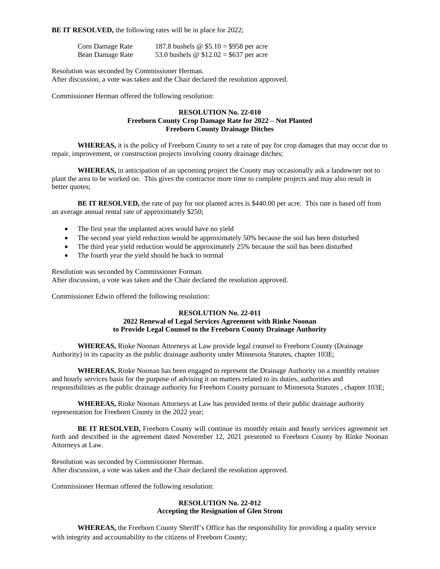**BE IT RESOLVED,** the following rates will be in place for 2022;

| Corn Damage Rate | 187.8 bushels $\omega$ \$5.10 = \$958 per acre |  |
|------------------|------------------------------------------------|--|
| Bean Damage Rate | 53.0 bushels @ $$12.02 = $637$ per acre        |  |

Resolution was seconded by Commissioner Herman.

After discussion, a vote was taken and the Chair declared the resolution approved.

Commissioner Herman offered the following resolution:

### **RESOLUTION No. 22-010 Freeborn County Crop Damage Rate for 2022 – Not Planted Freeborn County Drainage Ditches**

**WHEREAS,** it is the policy of Freeborn County to set a rate of pay for crop damages that may occur due to repair, improvement, or construction projects involving county drainage ditches;

**WHEREAS,** in anticipation of an upcoming project the County may occasionally ask a landowner not to plant the area to be worked on. This gives the contractor more time to complete projects and may also result in better quotes;

**BE IT RESOLVED,** the rate of pay for not planted acres is \$440.00 per acre. This rate is based off from an average annual rental rate of approximately \$250;

- The first year the unplanted acres would have no yield
- The second year yield reduction would be approximately 50% because the soil has been disturbed
- The third year yield reduction would be approximately 25% because the soil has been disturbed
- The fourth year the yield should be back to normal

Resolution was seconded by Commissioner Forman. After discussion, a vote was taken and the Chair declared the resolution approved.

Commissioner Edwin offered the following resolution:

### **RESOLUTION No. 22-011 2022 Renewal of Legal Services Agreement with Rinke Noonan to Provide Legal Counsel to the Freeborn County Drainage Authority**

**WHEREAS,** Rinke Noonan Attorneys at Law provide legal counsel to Freeborn County (Drainage Authority) in its capacity as the public drainage authority under Minnesota Statutes, chapter 103E;

**WHEREAS,** Rinke Noonan has been engaged to represent the Drainage Authority on a monthly retainer and hourly services basis for the purpose of advising it on matters related to its duties, authorities and responsibilities as the public drainage authority for Freeborn County pursuant to Minnesota Statutes , chapter 103E;

**WHEREAS,** Rinke Noonan Attorneys at Law has provided terms of their public drainage authority representation for Freeborn County in the 2022 year;

**BE IT RESOLVED,** Freeborn County will continue its monthly retain and hourly services agreement set forth and described in the agreement dated November 12, 2021 presented to Freeborn County by Rinke Noonan Attorneys at Law.

Resolution was seconded by Commissioner Herman. After discussion, a vote was taken and the Chair declared the resolution approved.

Commissioner Herman offered the following resolution:

### **RESOLUTION No. 22-012 Accepting the Resignation of Glen Strom**

**WHEREAS,** the Freeborn County Sheriff's Office has the responsibility for providing a quality service with integrity and accountability to the citizens of Freeborn County;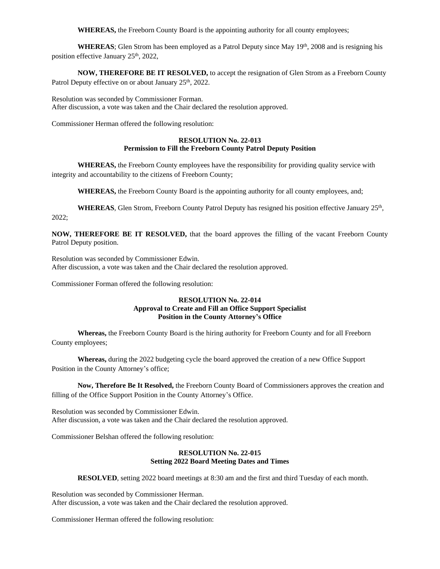**WHEREAS,** the Freeborn County Board is the appointing authority for all county employees;

WHEREAS; Glen Strom has been employed as a Patrol Deputy since May 19<sup>th</sup>, 2008 and is resigning his position effective January 25<sup>th</sup>, 2022,

**NOW, THEREFORE BE IT RESOLVED,** to accept the resignation of Glen Strom as a Freeborn County Patrol Deputy effective on or about January 25<sup>th</sup>, 2022.

Resolution was seconded by Commissioner Forman. After discussion, a vote was taken and the Chair declared the resolution approved.

Commissioner Herman offered the following resolution:

#### **RESOLUTION No. 22-013 Permission to Fill the Freeborn County Patrol Deputy Position**

**WHEREAS,** the Freeborn County employees have the responsibility for providing quality service with integrity and accountability to the citizens of Freeborn County;

**WHEREAS,** the Freeborn County Board is the appointing authority for all county employees, and;

WHEREAS, Glen Strom, Freeborn County Patrol Deputy has resigned his position effective January 25<sup>th</sup>, 2022;

**NOW, THEREFORE BE IT RESOLVED,** that the board approves the filling of the vacant Freeborn County Patrol Deputy position.

Resolution was seconded by Commissioner Edwin. After discussion, a vote was taken and the Chair declared the resolution approved.

Commissioner Forman offered the following resolution:

### **RESOLUTION No. 22-014 Approval to Create and Fill an Office Support Specialist Position in the County Attorney's Office**

**Whereas,** the Freeborn County Board is the hiring authority for Freeborn County and for all Freeborn County employees;

**Whereas,** during the 2022 budgeting cycle the board approved the creation of a new Office Support Position in the County Attorney's office;

**Now, Therefore Be It Resolved,** the Freeborn County Board of Commissioners approves the creation and filling of the Office Support Position in the County Attorney's Office.

Resolution was seconded by Commissioner Edwin. After discussion, a vote was taken and the Chair declared the resolution approved.

Commissioner Belshan offered the following resolution:

### **RESOLUTION No. 22-015 Setting 2022 Board Meeting Dates and Times**

**RESOLVED**, setting 2022 board meetings at 8:30 am and the first and third Tuesday of each month.

Resolution was seconded by Commissioner Herman. After discussion, a vote was taken and the Chair declared the resolution approved.

Commissioner Herman offered the following resolution: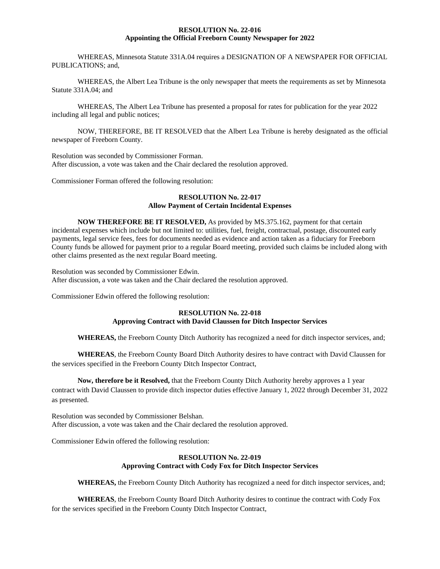#### **RESOLUTION No. 22-016 Appointing the Official Freeborn County Newspaper for 2022**

WHEREAS, Minnesota Statute 331A.04 requires a DESIGNATION OF A NEWSPAPER FOR OFFICIAL PUBLICATIONS; and,

WHEREAS, the Albert Lea Tribune is the only newspaper that meets the requirements as set by Minnesota Statute 331A.04; and

WHEREAS, The Albert Lea Tribune has presented a proposal for rates for publication for the year 2022 including all legal and public notices;

NOW, THEREFORE, BE IT RESOLVED that the Albert Lea Tribune is hereby designated as the official newspaper of Freeborn County.

Resolution was seconded by Commissioner Forman. After discussion, a vote was taken and the Chair declared the resolution approved.

Commissioner Forman offered the following resolution:

### **RESOLUTION No. 22-017 Allow Payment of Certain Incidental Expenses**

**NOW THEREFORE BE IT RESOLVED,** As provided by MS.375.162, payment for that certain incidental expenses which include but not limited to: utilities, fuel, freight, contractual, postage, discounted early payments, legal service fees, fees for documents needed as evidence and action taken as a fiduciary for Freeborn County funds be allowed for payment prior to a regular Board meeting, provided such claims be included along with other claims presented as the next regular Board meeting.

Resolution was seconded by Commissioner Edwin. After discussion, a vote was taken and the Chair declared the resolution approved.

Commissioner Edwin offered the following resolution:

# **RESOLUTION No. 22-018 Approving Contract with David Claussen for Ditch Inspector Services**

**WHEREAS,** the Freeborn County Ditch Authority has recognized a need for ditch inspector services, and;

**WHEREAS**, the Freeborn County Board Ditch Authority desires to have contract with David Claussen for the services specified in the Freeborn County Ditch Inspector Contract,

#### **Now, therefore be it Resolved,** that the Freeborn County Ditch Authority hereby approves a 1 year

contract with David Claussen to provide ditch inspector duties effective January 1, 2022 through December 31, 2022 as presented.

Resolution was seconded by Commissioner Belshan. After discussion, a vote was taken and the Chair declared the resolution approved.

Commissioner Edwin offered the following resolution:

### **RESOLUTION No. 22-019 Approving Contract with Cody Fox for Ditch Inspector Services**

**WHEREAS,** the Freeborn County Ditch Authority has recognized a need for ditch inspector services, and;

**WHEREAS**, the Freeborn County Board Ditch Authority desires to continue the contract with Cody Fox for the services specified in the Freeborn County Ditch Inspector Contract,